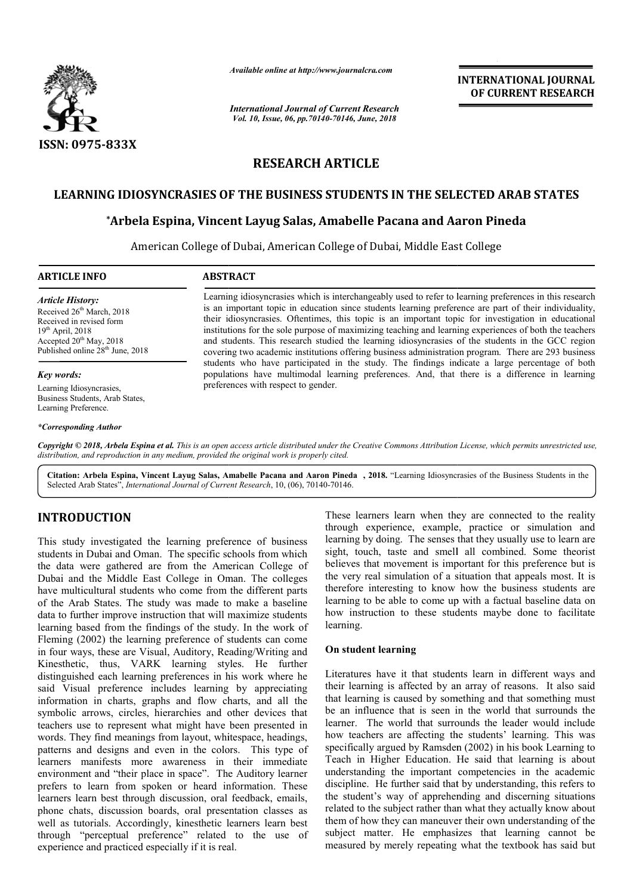

*Available online at http://www.journalcra.com*

*International Journal of Current Research Vol. 10, Issue, 06, pp.70140-70146, June, 2018*

**INTERNATIONAL JOURNAL OF CURRENT RESEARCH**

# **RESEARCH ARTICLE**

# **LEARNING IDIOSYNCRASIES OF THE BUSINESS STUDENTS IN THE SELECTED ARAB STATES**

# **\*Arbela Espina, Vincent Layug Salas, Amabelle Pacana and Aaron Pineda Arbela**

American College of Dubai, American College of Dubai, Middle East College

#### **ARTICLE INFO ABSTRACT**

*Article History:* Received 26<sup>th</sup> March, 2018 Received in revised form 19th April, 2018 Accepted  $20^{th}$  May, 2018 Published online 28<sup>th</sup> June, 2018

#### *Key words:*

Learning Idiosyncrasies, Business Students, Arab States, Learning Preference.

*\*Corresponding Author*

Learning idiosyncrasies which is interchangeably used to refer to learning preferences in this research is an important topic in education since students learning preference are part of their individuality, their idiosyncrasies. Oftentimes, this topic is a an important topic for investigation in educational institutions for the sole purpose of maximizing teaching and learning experiences of both the teachers and students. This research studied the learning idiosyncrasies of the students in the GCC region covering two academic institutions offering business administration program. There are 293 business covering two academic institutions offering business administration program. There are 293 business students who have participated in the study. The findings indicate a large percentage of both populations have multimodal learning preferences. And, that there is a difference in learning preferences with respect to gender. Learning idiosyncrasies which is interchangeably used to refer to learning preferences in this research is an important topic is an important topic for investigation in educational institutions for the sole purpose of maxi

Copyright © 2018, Arbela Espina et al. This is an open access article distributed under the Creative Commons Attribution License, which permits unrestricted use, *distribution, and reproduction in any medium, provided the original work is properly cited.*

Citation: Arbela Espina, Vincent Layug Salas, Amabelle Pacana and Aaron Pineda, 2018. "Learning Idiosyncrasies of the Business Students in the Selected Arab States", *International Journal of Current Research* , 10, (06), 70140-70146.

# **INTRODUCTION**

This study investigated the learning preference of business students in Dubai and Oman. The specific schools from which the data were gathered are from the American College of Dubai and the Middle East College in Oman. The colleges have multicultural students who come from the different parts of the Arab States. The study was made to make a baseline data to further improve instruction that will maximize students learning based from the findings of the study. In the work of Fleming (2002) the learning preference of students can come in four ways, these are Visual, Auditory, Reading/Writing and Kinesthetic, thus, VARK learning styles. He further distinguished each learning preferences in his work where he said Visual preference includes learning by appreciating information in charts, graphs and flow charts, and all the symbolic arrows, circles, hierarchies and other devices that teachers use to represent what might have been presented in words. They find meanings from layout, whitespace, headings, patterns and designs and even in the colors. This type of learners manifests more awareness in their immediate environment and "their place in space". The Auditory learner prefers to learn from spoken or heard information. These learners learn best through discussion, oral feedback, emails, phone chats, discussion boards, oral presentation classes as well as tutorials. Accordingly, kinesthetic learners learn best through "perceptual preference" related to the use of experience and practiced especially if it is real. rence of students can come<br>ditory, Reading/Writing and<br>ming styles. He further<br>ences in his work where he<br>learning by appreciating through experience, example, practice or simulation and learning by doing. The senses that they usually use to learn are sight, touch, taste and smell all combined. Some theorist believes that movement is important for this preference but is the very real simulation of a situation that appeals most. It is therefore interesting to know how the business students are learning to be able to come up with a factual baseline data on how instruction to these students maybe done to facilitate learning. These learners learn when they are connected to the reality through experience, example, practice or simulation and learning by doing. The senses that they usually use to learn are sight, touch, taste and smell all combine The students are<br>able to come up with a factual baseline data on<br>on to these students maybe done to facilitate<br>arning<br>we it that students learn in different ways and<br>is affected by an array of reasons. It also said<br>s cause

### **On student learning**

These learners learn when they are connected to the reality<br>through experience, example, practice or simulation and<br>escrific schools from which sight, touch, taste and smell all combined. Some theorist<br>exercific schools fr Literatures have it that students learn in different ways and their learning is affected by an array of reasons. It also said that learning is caused by something and that somethi be an influence that is seen in the world that surrounds the learner. The world that surrounds the leader would include how teachers are affecting the students' learning. This was specifically argued by Ramsden (2002) in his book Learning to Teach in Higher Education. He said that learning is about understanding the important competencies in the academic discipline. He further said that by understanding, this refers to the student's way of apprehending and discerning situations related to the subject rather than what they actually know about them of how they can maneuver their own understanding of the subject matter. He emphasizes that learning cannot be measured by merely repeating what the textbook has said but **EXERVALTIONAL JOURNAL FORMAL FORMAL FORMAL FORMAL FORMAL CONTREST CONTREST CONTREST IN (CONTREST) TO BOOK ALSO THE SELECTED ARAB STATES STUDENTS IN THE SELECTED ARAB STATES STUDENTS IN THE SELECTED ARAB STATES STUDENTS I**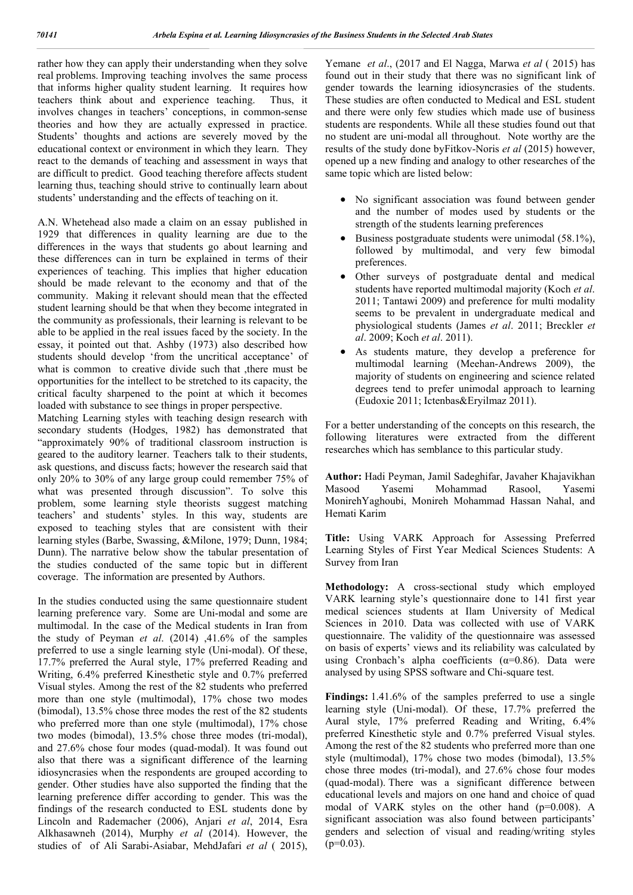rather how they can apply their understanding when they solve real problems. Improving teaching involves the same process that informs higher quality student learning. It requires how teachers think about and experience teaching. Thus, it involves changes in teachers' conceptions, in common-sense theories and how they are actually expressed in practice. Students' thoughts and actions are severely moved by the educational context or environment in which they learn. They react to the demands of teaching and assessment in ways that are difficult to predict. Good teaching therefore affects student learning thus, teaching should strive to continually learn about students' understanding and the effects of teaching on it.

A.N. Whetehead also made a claim on an essay published in 1929 that differences in quality learning are due to the differences in the ways that students go about learning and these differences can in turn be explained in terms of their experiences of teaching. This implies that higher education should be made relevant to the economy and that of the community. Making it relevant should mean that the effected student learning should be that when they become integrated in the community as professionals, their learning is relevant to be able to be applied in the real issues faced by the society. In the essay, it pointed out that. Ashby (1973) also described how students should develop 'from the uncritical acceptance' of what is common to creative divide such that ,there must be opportunities for the intellect to be stretched to its capacity, the critical faculty sharpened to the point at which it becomes loaded with substance to see things in proper perspective.

Matching Learning styles with teaching design research with secondary students (Hodges, 1982) has demonstrated that "approximately 90% of traditional classroom instruction is geared to the auditory learner. Teachers talk to their students, ask questions, and discuss facts; however the research said that only 20% to 30% of any large group could remember 75% of what was presented through discussion". To solve this problem, some learning style theorists suggest matching teachers' and students' styles. In this way, students are exposed to teaching styles that are consistent with their learning styles (Barbe, Swassing, &Milone, 1979; Dunn, 1984; Dunn). The narrative below show the tabular presentation of the studies conducted of the same topic but in different coverage. The information are presented by Authors.

In the studies conducted using the same questionnaire student learning preference vary. Some are Uni-modal and some are multimodal. In the case of the Medical students in Iran from the study of Peyman *et al*. (2014) ,41.6% of the samples preferred to use a single learning style (Uni-modal). Of these, 17.7% preferred the Aural style, 17% preferred Reading and Writing, 6.4% preferred Kinesthetic style and 0.7% preferred Visual styles. Among the rest of the 82 students who preferred more than one style (multimodal), 17% chose two modes (bimodal), 13.5% chose three modes the rest of the 82 students who preferred more than one style (multimodal), 17% chose two modes (bimodal), 13.5% chose three modes (tri-modal), and 27.6% chose four modes (quad-modal). It was found out also that there was a significant difference of the learning idiosyncrasies when the respondents are grouped according to gender. Other studies have also supported the finding that the learning preference differ according to gender. This was the findings of the research conducted to ESL students done by Lincoln and Rademacher (2006), Anjari *et al*, 2014, Esra Alkhasawneh (2014), Murphy *et al* (2014). However, the studies of of Ali Sarabi-Asiabar, MehdJafari *et al* ( 2015),

Yemane *et al*., (2017 and El Nagga, Marwa *et al* ( 2015) has found out in their study that there was no significant link of gender towards the learning idiosyncrasies of the students. These studies are often conducted to Medical and ESL student and there were only few studies which made use of business students are respondents. While all these studies found out that no student are uni-modal all throughout. Note worthy are the results of the study done byFitkov-Noris *et al* (2015) however, opened up a new finding and analogy to other researches of the same topic which are listed below:

- No significant association was found between gender and the number of modes used by students or the strength of the students learning preferences
- Business postgraduate students were unimodal (58.1%), followed by multimodal, and very few bimodal preferences.
- Other surveys of postgraduate dental and medical students have reported multimodal majority (Koch *et al*. 2011; Tantawi 2009) and preference for multi modality seems to be prevalent in undergraduate medical and physiological students (James *et al*. 2011; Breckler *et al*. 2009; Koch *et al*. 2011).
- As students mature, they develop a preference for multimodal learning (Meehan-Andrews 2009), the majority of students on engineering and science related degrees tend to prefer unimodal approach to learning (Eudoxie 2011; Ictenbas&Eryilmaz 2011).

For a better understanding of the concepts on this research, the following literatures were extracted from the different researches which has semblance to this particular study.

**Author:** Hadi Peyman, Jamil Sadeghifar, Javaher Khajavikhan Masood Yasemi Mohammad Rasool, Yasemi MonirehYaghoubi, Monireh Mohammad Hassan Nahal, and Hemati Karim

**Title:** Using VARK Approach for Assessing Preferred Learning Styles of First Year Medical Sciences Students: A Survey from Iran

**Methodology:** A cross-sectional study which employed VARK learning style's questionnaire done to 141 first year medical sciences students at Ilam University of Medical Sciences in 2010. Data was collected with use of VARK questionnaire. The validity of the questionnaire was assessed on basis of experts' views and its reliability was calculated by using Cronbach's alpha coefficients ( $\alpha$ =0.86). Data were analysed by using SPSS software and Chi-square test.

**Findings:** 1.41.6% of the samples preferred to use a single learning style (Uni-modal). Of these, 17.7% preferred the Aural style, 17% preferred Reading and Writing, 6.4% preferred Kinesthetic style and 0.7% preferred Visual styles. Among the rest of the 82 students who preferred more than one style (multimodal), 17% chose two modes (bimodal), 13.5% chose three modes (tri-modal), and 27.6% chose four modes (quad-modal). There was a significant difference between educational levels and majors on one hand and choice of quad modal of VARK styles on the other hand (p=0.008). A significant association was also found between participants' genders and selection of visual and reading/writing styles  $(p=0.03)$ .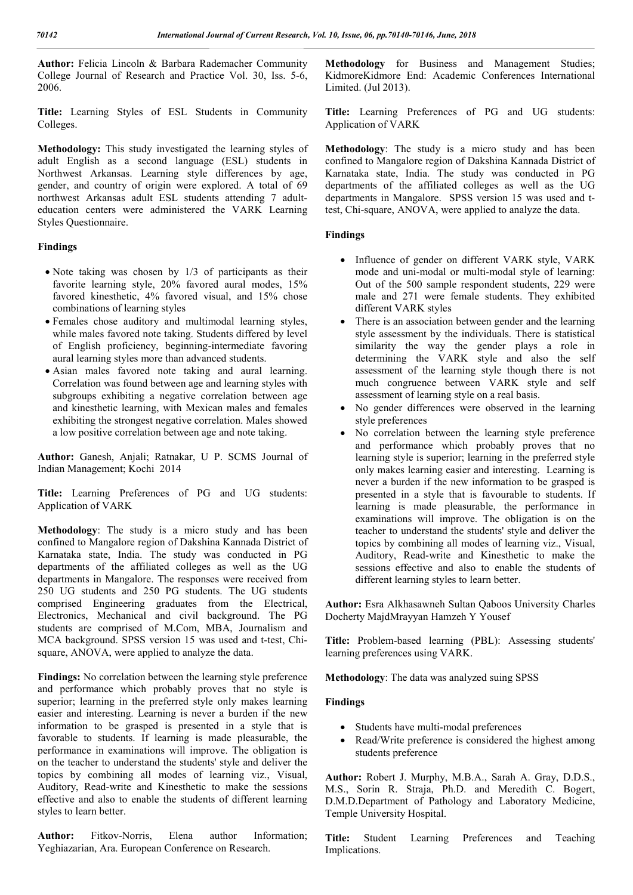**Author:** Felicia Lincoln & Barbara Rademacher Community College Journal of Research and Practice Vol. 30, Iss. 5-6, 2006.

**Title:** Learning Styles of ESL Students in Community Colleges.

**Methodology:** This study investigated the learning styles of adult English as a second language (ESL) students in Northwest Arkansas. Learning style differences by age, gender, and country of origin were explored. A total of 69 northwest Arkansas adult ESL students attending 7 adulteducation centers were administered the VARK Learning Styles Questionnaire.

#### **Findings**

- Note taking was chosen by 1/3 of participants as their favorite learning style, 20% favored aural modes, 15% favored kinesthetic, 4% favored visual, and 15% chose combinations of learning styles
- Females chose auditory and multimodal learning styles, while males favored note taking. Students differed by level of English proficiency, beginning-intermediate favoring aural learning styles more than advanced students.
- Asian males favored note taking and aural learning. Correlation was found between age and learning styles with subgroups exhibiting a negative correlation between age and kinesthetic learning, with Mexican males and females exhibiting the strongest negative correlation. Males showed a low positive correlation between age and note taking.

**Author:** Ganesh, Anjali; Ratnakar, U P. SCMS Journal of Indian Management; Kochi 2014

**Title:** Learning Preferences of PG and UG students: Application of VARK

**Methodology**: The study is a micro study and has been confined to Mangalore region of Dakshina Kannada District of Karnataka state, India. The study was conducted in PG departments of the affiliated colleges as well as the UG departments in Mangalore. The responses were received from 250 UG students and 250 PG students. The UG students comprised Engineering graduates from the Electrical, Electronics, Mechanical and civil background. The PG students are comprised of M.Com, MBA, Journalism and MCA background. SPSS version 15 was used and t-test, Chisquare, ANOVA, were applied to analyze the data.

**Findings:** No correlation between the learning style preference and performance which probably proves that no style is superior; learning in the preferred style only makes learning easier and interesting. Learning is never a burden if the new information to be grasped is presented in a style that is favorable to students. If learning is made pleasurable, the performance in examinations will improve. The obligation is on the teacher to understand the students' style and deliver the topics by combining all modes of learning viz., Visual, Auditory, Read-write and Kinesthetic to make the sessions effective and also to enable the students of different learning styles to learn better.

**Author:** Fitkov-Norris, Elena author Information; Yeghiazarian, Ara. European Conference on Research.

**Methodology** for Business and Management Studies; KidmoreKidmore End: Academic Conferences International Limited. (Jul 2013).

**Title:** Learning Preferences of PG and UG students: Application of VARK

**Methodology**: The study is a micro study and has been confined to Mangalore region of Dakshina Kannada District of Karnataka state, India. The study was conducted in PG departments of the affiliated colleges as well as the UG departments in Mangalore. SPSS version 15 was used and ttest, Chi-square, ANOVA, were applied to analyze the data.

### **Findings**

- Influence of gender on different VARK style, VARK mode and uni-modal or multi-modal style of learning: Out of the 500 sample respondent students, 229 were male and 271 were female students. They exhibited different VARK styles
- There is an association between gender and the learning style assessment by the individuals. There is statistical similarity the way the gender plays a role in determining the VARK style and also the self assessment of the learning style though there is not much congruence between VARK style and self assessment of learning style on a real basis.
- No gender differences were observed in the learning style preferences
- No correlation between the learning style preference and performance which probably proves that no learning style is superior; learning in the preferred style only makes learning easier and interesting. Learning is never a burden if the new information to be grasped is presented in a style that is favourable to students. If learning is made pleasurable, the performance in examinations will improve. The obligation is on the teacher to understand the students' style and deliver the topics by combining all modes of learning viz., Visual, Auditory, Read-write and Kinesthetic to make the sessions effective and also to enable the students of different learning styles to learn better.

**Author:** Esra Alkhasawneh Sultan Qaboos University Charles Docherty MajdMrayyan Hamzeh Y Yousef

**Title:** Problem-based learning (PBL): Assessing students' learning preferences using VARK.

**Methodology**: The data was analyzed suing SPSS

#### **Findings**

- Students have multi-modal preferences
- Read/Write preference is considered the highest among students preference

**Author:** Robert J. Murphy, M.B.A., Sarah A. Gray, D.D.S., M.S., Sorin R. Straja, Ph.D. and Meredith C. Bogert, D.M.D.Department of Pathology and Laboratory Medicine, Temple University Hospital.

**Title:** Student Learning Preferences and Teaching Implications.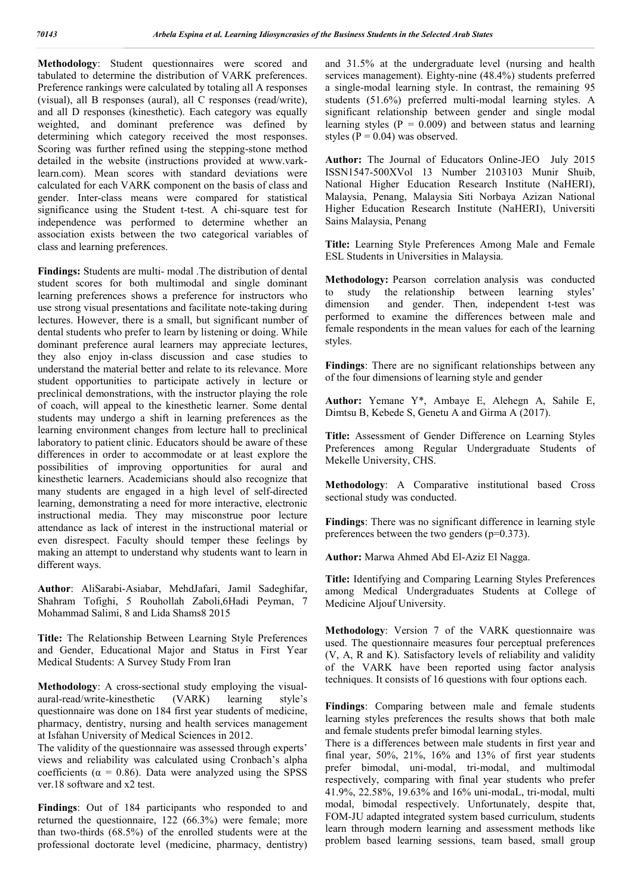**Methodology**: Student questionnaires were scored and tabulated to determine the distribution of VARK preferences. Preference rankings were calculated by totaling all A responses (visual), all B responses (aural), all C responses (read/write), and all D responses (kinesthetic). Each category was equally weighted, and dominant preference was defined by determining which category received the most responses. Scoring was further refined using the stepping-stone method detailed in the website (instructions provided at www.varklearn.com). Mean scores with standard deviations were calculated for each VARK component on the basis of class and gender. Inter-class means were compared for statistical significance using the Student t-test. A chi-square test for independence was performed to determine whether an association exists between the two categorical variables of class and learning preferences.

**Findings:** Students are multi- modal .The distribution of dental student scores for both multimodal and single dominant learning preferences shows a preference for instructors who use strong visual presentations and facilitate note-taking during lectures. However, there is a small, but significant number of dental students who prefer to learn by listening or doing. While dominant preference aural learners may appreciate lectures, they also enjoy in-class discussion and case studies to understand the material better and relate to its relevance. More student opportunities to participate actively in lecture or preclinical demonstrations, with the instructor playing the role of coach, will appeal to the kinesthetic learner. Some dental students may undergo a shift in learning preferences as the learning environment changes from lecture hall to preclinical laboratory to patient clinic. Educators should be aware of these differences in order to accommodate or at least explore the possibilities of improving opportunities for aural and kinesthetic learners. Academicians should also recognize that many students are engaged in a high level of self-directed learning, demonstrating a need for more interactive, electronic instructional media. They may misconstrue poor lecture attendance as lack of interest in the instructional material or even disrespect. Faculty should temper these feelings by making an attempt to understand why students want to learn in different ways.

**Author**: AliSarabi-Asiabar, MehdJafari, Jamil Sadeghifar, Shahram Tofighi, 5 Rouhollah Zaboli,6Hadi Peyman, 7 Mohammad Salimi, 8 and Lida Shams8 2015

**Title:** The Relationship Between Learning Style Preferences and Gender, Educational Major and Status in First Year Medical Students: A Survey Study From Iran

**Methodology**: A cross-sectional study employing the visualaural-read/write-kinesthetic (VARK) learning style's questionnaire was done on 184 first year students of medicine, pharmacy, dentistry, nursing and health services management at Isfahan University of Medical Sciences in 2012.

The validity of the questionnaire was assessed through experts' views and reliability was calculated using Cronbach's alpha coefficients ( $\alpha = 0.86$ ). Data were analyzed using the SPSS ver.18 software and x2 test.

**Findings**: Out of 184 participants who responded to and returned the questionnaire, 122 (66.3%) were female; more than two-thirds (68.5%) of the enrolled students were at the professional doctorate level (medicine, pharmacy, dentistry) and 31.5% at the undergraduate level (nursing and health services management). Eighty-nine (48.4%) students preferred a single-modal learning style. In contrast, the remaining 95 students (51.6%) preferred multi-modal learning styles. A significant relationship between gender and single modal learning styles ( $P = 0.009$ ) and between status and learning styles ( $P = 0.04$ ) was observed.

**Author:** The Journal of Educators Online-JEO July 2015 ISSN1547-500XVol 13 Number 2103103 Munir Shuib, National Higher Education Research Institute (NaHERI), Malaysia, Penang, Malaysia Siti Norbaya Azizan National Higher Education Research Institute (NaHERI), Universiti Sains Malaysia, Penang

**Title:** Learning Style Preferences Among Male and Female ESL Students in Universities in Malaysia.

**Methodology:** Pearson correlation analysis was conducted to study the relationship between learning styles' dimension and gender. Then, independent t-test was performed to examine the differences between male and female respondents in the mean values for each of the learning styles.

**Findings**: There are no significant relationships between any of the four dimensions of learning style and gender

**Author:** Yemane Y\*, Ambaye E, Alehegn A, Sahile E, Dimtsu B, Kebede S, Genetu A and Girma A (2017).

**Title:** Assessment of Gender Difference on Learning Styles Preferences among Regular Undergraduate Students of Mekelle University, CHS.

**Methodology**: A Comparative institutional based Cross sectional study was conducted.

**Findings**: There was no significant difference in learning style preferences between the two genders (p=0.373).

**Author:** Marwa Ahmed Abd El-Aziz El Nagga.

**Title:** Identifying and Comparing Learning Styles Preferences among Medical Undergraduates Students at College of Medicine Aljouf University.

**Methodology**: Version 7 of the VARK questionnaire was used. The questionnaire measures four perceptual preferences (V, A, R and K). Satisfactory levels of reliability and validity of the VARK have been reported using factor analysis techniques. It consists of 16 questions with four options each.

**Findings**: Comparing between male and female students learning styles preferences the results shows that both male and female students prefer bimodal learning styles.

There is a differences between male students in first year and final year,  $50\%$ ,  $21\%$ ,  $16\%$  and  $13\%$  of first year students prefer bimodal, uni-modal, tri-modal, and multimodal respectively, comparing with final year students who prefer 41.9%, 22.58%, 19.63% and 16% uni-modaL, tri-modal, multi modal, bimodal respectively. Unfortunately, despite that, FOM-JU adapted integrated system based curriculum, students learn through modern learning and assessment methods like problem based learning sessions, team based, small group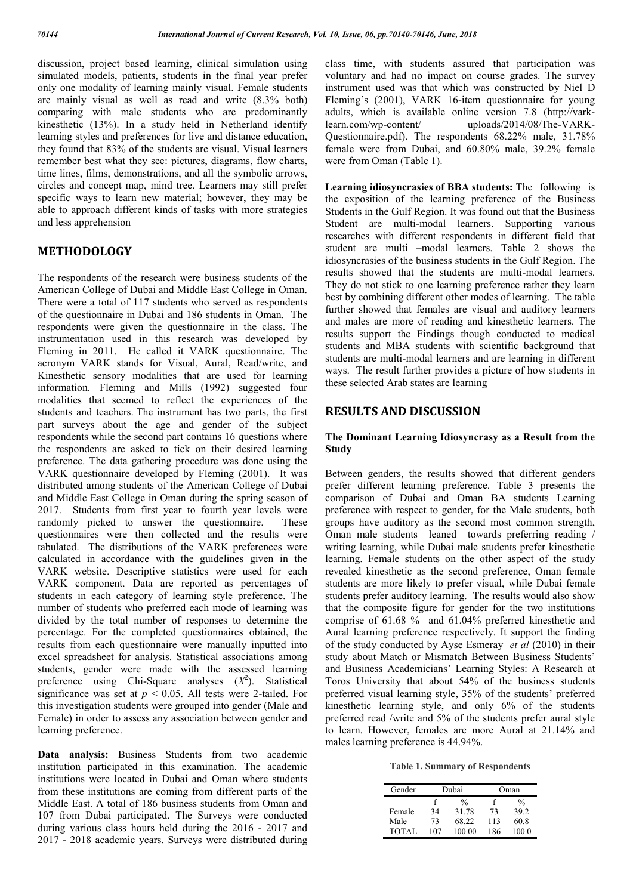discussion, project based learning, clinical simulation using simulated models, patients, students in the final year prefer only one modality of learning mainly visual. Female students are mainly visual as well as read and write (8.3% both) comparing with male students who are predominantly kinesthetic (13%). In a study held in Netherland identify learning styles and preferences for live and distance education, they found that 83% of the students are visual. Visual learners remember best what they see: pictures, diagrams, flow charts, time lines, films, demonstrations, and all the symbolic arrows, circles and concept map, mind tree. Learners may still prefer specific ways to learn new material; however, they may be able to approach different kinds of tasks with more strategies and less apprehension

# **METHODOLOGY**

The respondents of the research were business students of the American College of Dubai and Middle East College in Oman. There were a total of 117 students who served as respondents of the questionnaire in Dubai and 186 students in Oman. The respondents were given the questionnaire in the class. The instrumentation used in this research was developed by Fleming in 2011. He called it VARK questionnaire. The acronym VARK stands for Visual, Aural, Read/write, and Kinesthetic sensory modalities that are used for learning information. Fleming and Mills (1992) suggested four modalities that seemed to reflect the experiences of the students and teachers. The instrument has two parts, the first part surveys about the age and gender of the subject respondents while the second part contains 16 questions where the respondents are asked to tick on their desired learning preference. The data gathering procedure was done using the VARK questionnaire developed by Fleming (2001). It was distributed among students of the American College of Dubai and Middle East College in Oman during the spring season of 2017. Students from first year to fourth year levels were randomly picked to answer the questionnaire. These questionnaires were then collected and the results were tabulated. The distributions of the VARK preferences were calculated in accordance with the guidelines given in the VARK website. Descriptive statistics were used for each VARK component. Data are reported as percentages of students in each category of learning style preference. The number of students who preferred each mode of learning was divided by the total number of responses to determine the percentage. For the completed questionnaires obtained, the results from each questionnaire were manually inputted into excel spreadsheet for analysis. Statistical associations among students, gender were made with the assessed learning preference using Chi-Square analyses  $(X^2)$ . Statistical significance was set at  $p < 0.05$ . All tests were 2-tailed. For this investigation students were grouped into gender (Male and Female) in order to assess any association between gender and learning preference.

**Data analysis:** Business Students from two academic institution participated in this examination. The academic institutions were located in Dubai and Oman where students from these institutions are coming from different parts of the Middle East. A total of 186 business students from Oman and 107 from Dubai participated. The Surveys were conducted during various class hours held during the 2016 - 2017 and 2017 - 2018 academic years. Surveys were distributed during class time, with students assured that participation was voluntary and had no impact on course grades. The survey instrument used was that which was constructed by Niel D Fleming's (2001), VARK 16-item questionnaire for young adults, which is available online version 7.8 (http://varklearn.com/wp-content/ uploads/2014/08/The-VARK-Questionnaire.pdf). The respondents 68.22% male, 31.78% female were from Dubai, and 60.80% male, 39.2% female were from Oman (Table 1).

**Learning idiosyncrasies of BBA students:** The following is the exposition of the learning preference of the Business Students in the Gulf Region. It was found out that the Business Student are multi-modal learners. Supporting various researches with different respondents in different field that student are multi –modal learners. Table 2 shows the idiosyncrasies of the business students in the Gulf Region. The results showed that the students are multi-modal learners. They do not stick to one learning preference rather they learn best by combining different other modes of learning. The table further showed that females are visual and auditory learners and males are more of reading and kinesthetic learners. The results support the Findings though conducted to medical students and MBA students with scientific background that students are multi-modal learners and are learning in different ways. The result further provides a picture of how students in these selected Arab states are learning

### **RESULTS AND DISCUSSION**

#### **The Dominant Learning Idiosyncrasy as a Result from the Study**

Between genders, the results showed that different genders prefer different learning preference. Table 3 presents the comparison of Dubai and Oman BA students Learning preference with respect to gender, for the Male students, both groups have auditory as the second most common strength, Oman male students leaned towards preferring reading / writing learning, while Dubai male students prefer kinesthetic learning. Female students on the other aspect of the study revealed kinesthetic as the second preference, Oman female students are more likely to prefer visual, while Dubai female students prefer auditory learning. The results would also show that the composite figure for gender for the two institutions comprise of 61.68 % and 61.04% preferred kinesthetic and Aural learning preference respectively. It support the finding of the study conducted by Ayse Esmeray *et al* (2010) in their study about Match or Mismatch Between Business Students' and Business Academicians' Learning Styles: A Research at Toros University that about 54% of the business students preferred visual learning style, 35% of the students' preferred kinesthetic learning style, and only 6% of the students preferred read /write and 5% of the students prefer aural style to learn. However, females are more Aural at 21.14% and males learning preference is 44.94%.

**Table 1. Summary of Respondents**

| Gender |     | Dubai  | Oman |               |  |
|--------|-----|--------|------|---------------|--|
|        |     | %      |      | $\frac{0}{0}$ |  |
| Female | 34  | 31.78  | 73   | 39.2          |  |
| Male   | 73  | 68.22  | 113  | 60.8          |  |
| TOTAL  | 107 | 100.00 | 186  | 100.0         |  |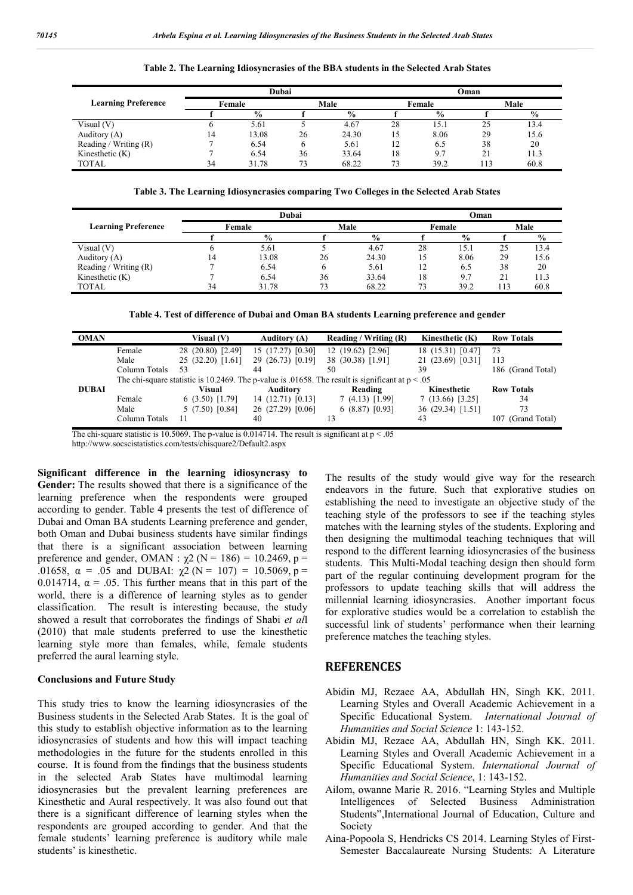|                            | Dubai  |               |      |               | Oman   |      |      |               |
|----------------------------|--------|---------------|------|---------------|--------|------|------|---------------|
| <b>Learning Preference</b> | Female |               | Male |               | Female |      | Male |               |
|                            |        | $\frac{0}{0}$ |      | $\frac{0}{0}$ |        | $\%$ |      | $\frac{0}{0}$ |
| Visual $(V)$               |        | 5.61          |      | 4.67          | 28     | 15.1 | 25   | 13.4          |
| Auditory (A)               | ،4     | 13.08         | 26   | 24.30         | L5     | 8.06 | 29   | 15.6          |
| Reading / Writing $(R)$    |        | 6.54          |      | 5.61          | 12     | 6.5  | 38   | 20            |
| Kinesthetic $(K)$          |        | 6.54          | 36   | 33.64         | 18     | 9.7  | 21   | 11.3          |
| <b>TOTAL</b>               | 34     | 31.78         | 73   | 68.22         | 73     | 39.2 | 13   | 60.8          |

**Table 2. The Learning Idiosyncrasies of the BBA students in the Selected Arab States**

**Table 3. The Learning Idiosyncrasies comparing Two Colleges in the Selected Arab States**

|                            | Dubai  |               |      |       | Oman   |               |      |               |
|----------------------------|--------|---------------|------|-------|--------|---------------|------|---------------|
| <b>Learning Preference</b> | Female |               | Male |       | Female |               | Male |               |
|                            |        | $\frac{0}{0}$ |      | $\%$  |        | $\frac{6}{9}$ |      | $\frac{6}{6}$ |
| Visual $(V)$               |        | 5.61          |      | 4.67  | 28     | 15.1          | 25   | 13.4          |
| Auditory (A)               | 14     | 13.08         | 26   | 24.30 | 15     | 8.06          | 29   | 15.6          |
| Reading / Writing $(R)$    |        | 6.54          |      | 5.61  | 12     | 6.5           | 38   | 20            |
| Kinesthetic $(K)$          |        | 6.54          | 36   | 33.64 | 18     | 9.7           | 21   | 11.3          |
| <b>TOTAL</b>               | 34     | 31.78         | 73   | 68.22 | 73     | 39.2          | 13   | 60.8          |

| <b>OMAN</b>  |                                                                                                    | Visual $(V)$      | <b>Auditory (A)</b> | Reading / Writing (R) | Kinesthetic (K)   | <b>Row Totals</b> |  |  |
|--------------|----------------------------------------------------------------------------------------------------|-------------------|---------------------|-----------------------|-------------------|-------------------|--|--|
|              | Female                                                                                             | 28 (20.80) [2.49] | 15(17.27)[0.30]     | 12(19.62)[2.96]       | 18 (15.31) [0.47] | 73                |  |  |
|              | Male                                                                                               | 25 (32.20) [1.61] | 29 (26.73) [0.19]   | 38 (30.38) [1.91]     | 21 (23.69) [0.31] | 113               |  |  |
|              | Column Totals                                                                                      | 53                | 44                  | 50                    | 39                | 186 (Grand Total) |  |  |
|              | The chi-square statistic is 10.2469. The p-value is .01658. The result is significant at $p < .05$ |                   |                     |                       |                   |                   |  |  |
| <b>DUBAI</b> |                                                                                                    | Visual            | <b>Auditory</b>     | Reading               | Kinesthetic       | <b>Row Totals</b> |  |  |
|              | Female                                                                                             | 6(3.50)[1.79]     | 14(12.71)[0.13]     | $7(4.13)$ [1.99]      | $7(13.66)$ [3.25] | 34                |  |  |
|              | Male                                                                                               | 5(7.50)[0.84]     | 26 (27.29) [0.06]   | 6(8.87)[0.93]         | 36 (29.34) [1.51] | 73                |  |  |
|              | Column Totals                                                                                      | 11                | 40                  |                       | 43                | (Grand Total)     |  |  |

The chi-square statistic is 10.5069. The p-value is 0.014714. The result is significant at  $p < 0.05$ 

http://www.socscistatistics.com/tests/chisquare2/Default2.aspx

**Significant difference in the learning idiosyncrasy to Gender:** The results showed that there is a significance of the learning preference when the respondents were grouped according to gender. Table 4 presents the test of difference of Dubai and Oman BA students Learning preference and gender, both Oman and Dubai business students have similar findings that there is a significant association between learning preference and gender, OMAN :  $\chi$ 2 (N = 186) = 10.2469, p = .01658,  $\alpha = .05$  and DUBAI:  $\chi^2$  (N = 107) = 10.5069, p = 0.014714,  $\alpha$  = .05. This further means that in this part of the world, there is a difference of learning styles as to gender classification. The result is interesting because, the study showed a result that corroborates the findings of Shabi *et al*l (2010) that male students preferred to use the kinesthetic learning style more than females, while, female students preferred the aural learning style.

#### **Conclusions and Future Study**

This study tries to know the learning idiosyncrasies of the Business students in the Selected Arab States. It is the goal of this study to establish objective information as to the learning idiosyncrasies of students and how this will impact teaching methodologies in the future for the students enrolled in this course. It is found from the findings that the business students in the selected Arab States have multimodal learning idiosyncrasies but the prevalent learning preferences are Kinesthetic and Aural respectively. It was also found out that there is a significant difference of learning styles when the respondents are grouped according to gender. And that the female students' learning preference is auditory while male students' is kinesthetic.

The results of the study would give way for the research endeavors in the future. Such that explorative studies on establishing the need to investigate an objective study of the teaching style of the professors to see if the teaching styles matches with the learning styles of the students. Exploring and then designing the multimodal teaching techniques that will respond to the different learning idiosyncrasies of the business students. This Multi-Modal teaching design then should form part of the regular continuing development program for the professors to update teaching skills that will address the millennial learning idiosyncrasies. Another important focus for explorative studies would be a correlation to establish the successful link of students' performance when their learning preference matches the teaching styles.

#### **REFERENCES**

- Abidin MJ, Rezaee AA, Abdullah HN, Singh KK. 2011. Learning Styles and Overall Academic Achievement in a Specific Educational System. *International Journal of Humanities and Social Science* 1: 143-152.
- Abidin MJ, Rezaee AA, Abdullah HN, Singh KK. 2011. Learning Styles and Overall Academic Achievement in a Specific Educational System. *International Journal of Humanities and Social Science*, 1: 143-152.
- Ailom, owanne Marie R. 2016. "Learning Styles and Multiple Intelligences of Selected Business Administration Students",International Journal of Education, Culture and Society
- Aina-Popoola S, Hendricks CS 2014. Learning Styles of First-Semester Baccalaureate Nursing Students: A Literature